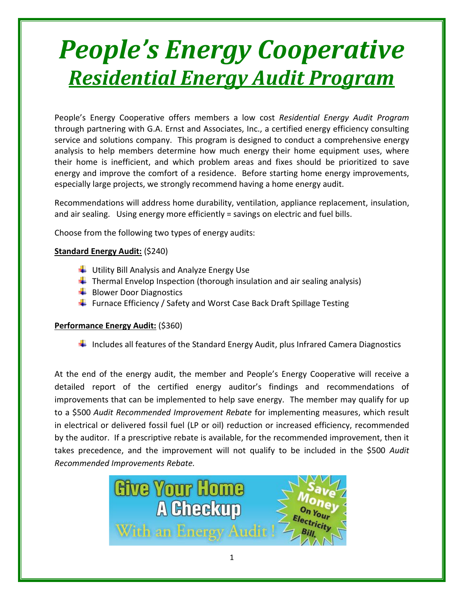# *People's Energy Cooperative Residential Energy Audit Program*

People's Energy Cooperative offers members a low cost *Residential Energy Audit Program* through partnering with G.A. Ernst and Associates, Inc., a certified energy efficiency consulting service and solutions company. This program is designed to conduct a comprehensive energy analysis to help members determine how much energy their home equipment uses, where their home is inefficient, and which problem areas and fixes should be prioritized to save energy and improve the comfort of a residence. Before starting home energy improvements, especially large projects, we strongly recommend having a home energy audit.

Recommendations will address home durability, ventilation, appliance replacement, insulation, and air sealing. Using energy more efficiently = savings on electric and fuel bills.

Choose from the following two types of energy audits:

### **Standard Energy Audit:** (\$240)

- Utility Bill Analysis and Analyze Energy Use
- $\ddot{\phantom{1}}$  Thermal Envelop Inspection (thorough insulation and air sealing analysis)
- $\bigstar$  Blower Door Diagnostics
- $\ddot{+}$  Furnace Efficiency / Safety and Worst Case Back Draft Spillage Testing

### **Performance Energy Audit:** (\$360)

Includes all features of the Standard Energy Audit, plus Infrared Camera Diagnostics

At the end of the energy audit, the member and People's Energy Cooperative will receive a detailed report of the certified energy auditor's findings and recommendations of improvements that can be implemented to help save energy. The member may qualify for up to a \$500 *Audit Recommended Improvement Rebate* for implementing measures, which result in electrical or delivered fossil fuel (LP or oil) reduction or increased efficiency, recommended by the auditor. If a prescriptive rebate is available, for the recommended improvement, then it takes precedence, and the improvement will not qualify to be included in the \$500 *Audit Recommended Improvements Rebate.*

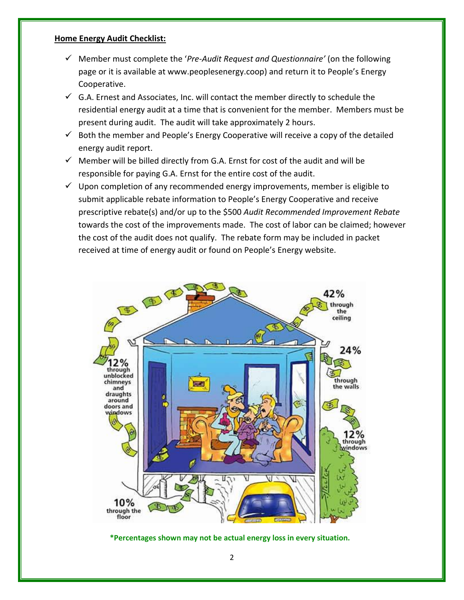#### **Home Energy Audit Checklist:**

- ✓ Member must complete the '*Pre-Audit Request and Questionnaire'* (on the following page or it is available at www.peoplesenergy.coop) and return it to People's Energy Cooperative.
- $\checkmark$  G.A. Ernest and Associates, Inc. will contact the member directly to schedule the residential energy audit at a time that is convenient for the member. Members must be present during audit. The audit will take approximately 2 hours.
- $\checkmark$  Both the member and People's Energy Cooperative will receive a copy of the detailed energy audit report.
- $\checkmark$  Member will be billed directly from G.A. Ernst for cost of the audit and will be responsible for paying G.A. Ernst for the entire cost of the audit.
- $\checkmark$  Upon completion of any recommended energy improvements, member is eligible to submit applicable rebate information to People's Energy Cooperative and receive prescriptive rebate(s) and/or up to the \$500 *Audit Recommended Improvement Rebate* towards the cost of the improvements made. The cost of labor can be claimed; however the cost of the audit does not qualify. The rebate form may be included in packet received at time of energy audit or found on People's Energy website.



**\*Percentages shown may not be actual energy loss in every situation.**